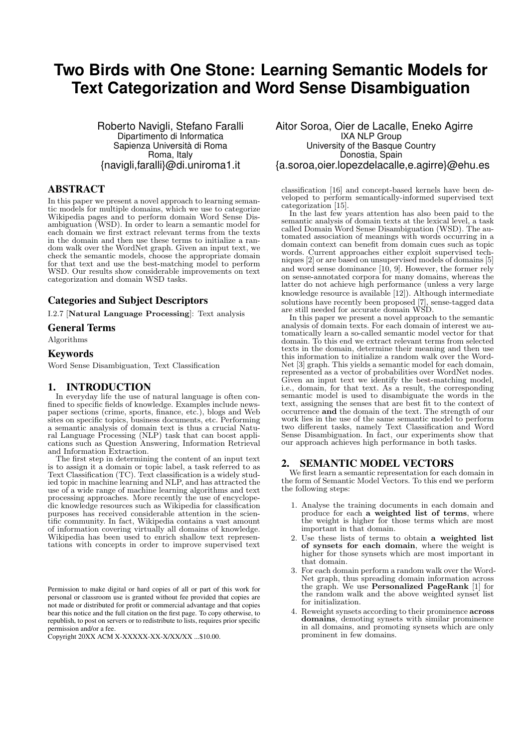# **Two Birds with One Stone: Learning Semantic Models for Text Categorization and Word Sense Disambiguation**

Roberto Navigli, Stefano Faralli Dipartimento di Informatica Sapienza Università di Roma Roma, Italy {navigli,faralli}@di.uniroma1.it

# ABSTRACT

In this paper we present a novel approach to learning semantic models for multiple domains, which we use to categorize Wikipedia pages and to perform domain Word Sense Disambiguation (WSD). In order to learn a semantic model for each domain we first extract relevant terms from the texts in the domain and then use these terms to initialize a random walk over the WordNet graph. Given an input text, we check the semantic models, choose the appropriate domain for that text and use the best-matching model to perform WSD. Our results show considerable improvements on text categorization and domain WSD tasks.

# Categories and Subject Descriptors

I.2.7 [Natural Language Processing]: Text analysis

General Terms

Algorithms

### Keywords

Word Sense Disambiguation, Text Classification

# 1. INTRODUCTION

In everyday life the use of natural language is often confined to specific fields of knowledge. Examples include newspaper sections (crime, sports, finance, etc.), blogs and Web sites on specific topics, business documents, etc. Performing a semantic analysis of domain text is thus a crucial Natural Language Processing (NLP) task that can boost applications such as Question Answering, Information Retrieval and Information Extraction.

The first step in determining the content of an input text is to assign it a domain or topic label, a task referred to as Text Classification (TC). Text classification is a widely studied topic in machine learning and NLP, and has attracted the use of a wide range of machine learning algorithms and text processing approaches. More recently the use of encyclopedic knowledge resources such as Wikipedia for classification purposes has received considerable attention in the scientific community. In fact, Wikipedia contains a vast amount of information covering virtually all domains of knowledge. Wikipedia has been used to enrich shallow text representations with concepts in order to improve supervised text

Permission to make digital or hard copies of all or part of this work for personal or classroom use is granted without fee provided that copies are not made or distributed for profit or commercial advantage and that copies bear this notice and the full citation on the first page. To copy otherwise, to republish, to post on servers or to redistribute to lists, requires prior specific permission and/or a fee.

Copyright 20XX ACM X-XXXXX-XX-X/XX/XX ...\$10.00.

Aitor Soroa, Oier de Lacalle, Eneko Agirre IXA NLP Group University of the Basque Country Donostia, Spain {a.soroa,oier.lopezdelacalle,e.agirre}@ehu.es

classification [16] and concept-based kernels have been developed to perform semantically-informed supervised text categorization [15].

In the last few years attention has also been paid to the semantic analysis of domain texts at the lexical level, a task called Domain Word Sense Disambiguation (WSD). The automated association of meanings with words occurring in a domain context can benefit from domain cues such as topic words. Current approaches either exploit supervised techniques [2] or are based on unsupervised models of domains [5] and word sense dominance [10, 9]. However, the former rely on sense-annotated corpora for many domains, whereas the latter do not achieve high performance (unless a very large knowledge resource is available [12]). Although intermediate solutions have recently been proposed [7], sense-tagged data are still needed for accurate domain WSD.

In this paper we present a novel approach to the semantic analysis of domain texts. For each domain of interest we automatically learn a so-called semantic model vector for that domain. To this end we extract relevant terms from selected texts in the domain, determine their meaning and then use this information to initialize a random walk over the Word-Net [3] graph. This yields a semantic model for each domain, represented as a vector of probabilities over WordNet nodes. Given an input text we identify the best-matching model, i.e., domain, for that text. As a result, the corresponding semantic model is used to disambiguate the words in the text, assigning the senses that are best fit to the context of occurrence and the domain of the text. The strength of our work lies in the use of the same semantic model to perform two different tasks, namely Text Classification and Word Sense Disambiguation. In fact, our experiments show that our approach achieves high performance in both tasks.

## 2. SEMANTIC MODEL VECTORS

We first learn a semantic representation for each domain in the form of Semantic Model Vectors. To this end we perform the following steps:

- 1. Analyse the training documents in each domain and produce for each a weighted list of terms, where the weight is higher for those terms which are most important in that domain.
- 2. Use these lists of terms to obtain a weighted list of synsets for each domain, where the weight is higher for those synsets which are most important in that domain.
- 3. For each domain perform a random walk over the Word-Net graph, thus spreading domain information across the graph. We use Personalized PageRank [1] for the random walk and the above weighted synset list for initialization.
- 4. Reweight synsets according to their prominence across domains, demoting synsets with similar prominence in all domains, and promoting synsets which are only prominent in few domains.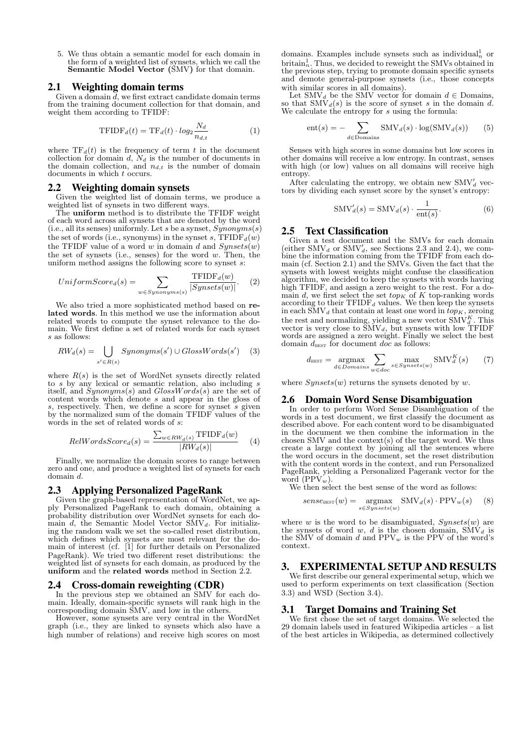5. We thus obtain a semantic model for each domain in the form of a weighted list of synsets, which we call the Semantic Model Vector (SMV) for that domain.

#### 2.1 Weighting domain terms

Given a domain  $\overline{d}$ , we first extract candidate domain terms from the training document collection for that domain, and weight them according to TFIDF:

$$
\text{TFIDF}_d(t) = \text{TF}_d(t) \cdot \log_2 \frac{N_d}{n_{d,t}} \tag{1}
$$

where  $TF_d(t)$  is the frequency of term t in the document collection for domain  $d, N_d$  is the number of documents in the domain collection, and  $n_{d,t}$  is the number of domain documents in which  $t$  occurs.

# 2.2 Weighting domain synsets

Given the weighted list of domain terms, we produce a weighted list of synsets in two different ways.

The uniform method is to distribute the TFIDF weight of each word across all synsets that are denoted by the word (i.e., all its senses) uniformly. Let s be a synset,  $Symonyms(s)$ the set of words (i.e., synonyms) in the synset s,  $TFIDF_d(w)$ the TFIDF value of a word w in domain d and  $Synsets(w)$ the set of synsets (i.e., senses) for the word  $w$ . Then, the uniform method assigns the following score to synset s:

$$
UniformScore_d(s) = \sum_{w \in Synonyms(s)} \frac{\text{TFIDF}_d(w)}{|Synsets(w)|}.
$$
 (2)

We also tried a more sophisticated method based on related words. In this method we use the information about related words to compute the synset relevance to the domain. We first define a set of related words for each synset s as follows:

$$
RW_d(s) = \bigcup_{s' \in R(s)} Synonyms(s') \cup GlassWords(s') \quad (3)
$$

where  $R(s)$  is the set of WordNet synsets directly related to  $s$  by any lexical or semantic relation, also including  $s$ itself, and  $\tilde{S}ynonyms(s)$  and  $\tilde{G}lossWords(s)$  are the set of content words which denote s and appear in the gloss of  $s$ , respectively. Then, we define a score for synset  $s$  given by the normalized sum of the domain TFIDF values of the words in the set of related words of s:

$$
RelWordsScore_d(s) = \frac{\sum_{w \in RW_d(s)} \text{TFIDF}_d(w)}{|RW_d(s)|} \tag{4}
$$

Finally, we normalize the domain scores to range between zero and one, and produce a weighted list of synsets for each domain d.

### 2.3 Applying Personalized PageRank

Given the graph-based representation of WordNet, we apply Personalized PageRank to each domain, obtaining a probability distribution over WordNet synsets for each domain d, the Semantic Model Vector  $\tilde{M}V_d$ . For initializing the random walk we set the so-called reset distribution, which defines which synsets are most relevant for the domain of interest (cf. [1] for further details on Personalized PageRank). We tried two different reset distributions: the weighted list of synsets for each domain, as produced by the uniform and the related words method in Section 2.2.

#### 2.4 Cross-domain reweighting (CDR)

In the previous step we obtained an SMV for each domain. Ideally, domain-specific synsets will rank high in the corresponding domain SMV, and low in the others.

However, some synsets are very central in the WordNet graph (i.e., they are linked to synsets which also have a high number of relations) and receive high scores on most

domains. Examples include synsets such as individual<sub>n</sub> or  $\text{britain}_n^1$ . Thus, we decided to reweight the SMVs obtained in the previous step, trying to promote domain specific synsets and demote general-purpose synsets (i.e., those concepts with similar scores in all domains).

Let SMV<sub>d</sub> be the SMV vector for domain  $d \in$  Domains, so that  $\text{SMV}_d(s)$  is the score of synset s in the domain d. We calculate the entropy for s using the formula:

$$
ent(s) = -\sum_{d \in \text{Domain} \text{SMV}_d(s) \cdot \log(\text{SMV}_d(s))} (5)
$$

Senses with high scores in some domains but low scores in other domains will receive a low entropy. In contrast, senses with high (or low) values on all domains will receive high entropy.

After calculating the entropy, we obtain new  $\text{SMV}'_d$  vectors by dividing each synset score by the synset's entropy:

$$
SMV_d'(s) = SMV_d(s) \cdot \frac{1}{ent(s)}.\t(6)
$$

#### 2.5 Text Classification

Given a test document and the SMVs for each domain (either  $\text{SMV}_d$  or  $\text{SMV}'_d$ , see Sections 2.3 and 2.4), we combine the information coming from the TFIDF from each domain (cf. Section 2.1) and the SMVs. Given the fact that the synsets with lowest weights might confuse the classification algorithm, we decided to keep the synsets with words having high TFIDF, and assign a zero weight to the rest. For a domain d, we first select the set  $top<sub>K</sub>$  of K top-ranking words according to their  $TFIDF<sub>d</sub>$  values. We then keep the synsets in each  $\text{SMV}_d$  that contain at least one word in  $top_K$ , zeroing the rest and normalizing, yielding a new vector  $\text{SMV}_d^K$ . This vector is very close to  $\text{SMV}_d$ , but synsets with low TFIDF words are assigned a zero weight. Finally we select the best domain  $d_{\text{best}}$  for document doc as follows:

$$
d_{\text{BEST}} = \underset{d \in Domains}{\text{argmax}} \sum_{w \in doc} \underset{s \in Synsets(w)}{\text{max}} \text{SMV}_d^K(s) \tag{7}
$$

where  $Synsets(w)$  returns the synsets denoted by w.

#### 2.6 Domain Word Sense Disambiguation

In order to perform Word Sense Disambiguation of the words in a test document, we first classify the document as described above. For each content word to be disambiguated in the document we then combine the information in the chosen SMV and the context(s) of the target word. We thus create a large context by joining all the sentences where the word occurs in the document, set the reset distribution with the content words in the context, and run Personalized PageRank, yielding a Personalized Pagerank vector for the word  $(PPV_w)$ 

We then select the best sense of the word as follows:

$$
sense_{\text{BEST}}(w) = \underset{s \in Synsets(w)}{\text{argmax}} \text{SMV}_d(s) \cdot \text{PPV}_w(s) \quad (8)
$$

where w is the word to be disambiguated,  $Synsets(w)$  are the synsets of word w, d is the chosen domain,  $\text{SMV}_d$  is the SMV of domain d and  $PPV_w$  is the PPV of the word's context.

# 3. EXPERIMENTAL SETUP AND RESULTS

We first describe our general experimental setup, which we used to perform experiments on text classification (Section 3.3) and WSD (Section 3.4).

#### 3.1 Target Domains and Training Set

We first chose the set of target domains. We selected the 29 domain labels used in featured Wikipedia articles – a list of the best articles in Wikipedia, as determined collectively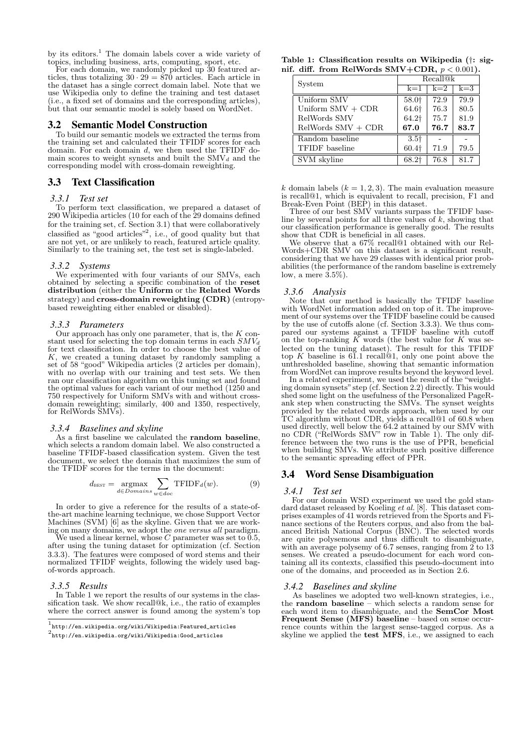by its editors.<sup>1</sup> The domain labels cover a wide variety of topics, including business, arts, computing, sport, etc.

For each domain, we randomly picked up 30 featured articles, thus totalizing  $30 \cdot 29 = 870$  articles. Each article in the dataset has a single correct domain label. Note that we use Wikipedia only to define the training and test dataset (i.e., a fixed set of domains and the corresponding articles), but that our semantic model is solely based on WordNet.

#### 3.2 Semantic Model Construction

To build our semantic models we extracted the terms from the training set and calculated their TFIDF scores for each domain. For each domain  $d$ , we then used the TFIDF domain scores to weight synsets and built the  $\text{SMV}_d$  and the corresponding model with cross-domain reweighting.

# 3.3 Text Classification

#### *3.3.1 Test set*

To perform text classification, we prepared a dataset of 290 Wikipedia articles (10 for each of the 29 domains defined for the training set, cf. Section 3.1) that were collaboratively classified as "good articles"<sup>2</sup>, i.e., of good quality but that are not yet, or are unlikely to reach, featured article quality. Similarly to the training set, the test set is single-labeled.

#### *3.3.2 Systems*

We experimented with four variants of our SMVs, each obtained by selecting a specific combination of the reset distribution (either the Uniform or the Related Words strategy) and cross-domain reweighting (CDR) (entropybased reweighting either enabled or disabled).

#### *3.3.3 Parameters*

Our approach has only one parameter, that is, the  $K$  constant used for selecting the top domain terms in each  $SMV_d$ for text classification. In order to choose the best value of  $K$ , we created a tuning dataset by randomly sampling a set of 58 "good" Wikipedia articles (2 articles per domain), with no overlap with our training and test sets. We then ran our classification algorithm on this tuning set and found the optimal values for each variant of our method (1250 and 750 respectively for Uniform SMVs with and without crossdomain reweighting; similarly, 400 and 1350, respectively, for RelWords SMVs).

#### *3.3.4 Baselines and skyline*

As a first baseline we calculated the random baseline, which selects a random domain label. We also constructed a baseline TFIDF-based classification system. Given the test document, we select the domain that maximizes the sum of the TFIDF scores for the terms in the document:

$$
d_{\text{best}} = \underset{d \in Domains}{\operatorname{argmax}} \sum_{w \in doc} \text{TFIDF}_d(w). \tag{9}
$$

In order to give a reference for the results of a state-ofthe-art machine learning technique, we chose Support Vector Machines (SVM) [6] as the skyline. Given that we are working on many domains, we adopt the one versus all paradigm.

We used a linear kernel, whose C parameter was set to  $0.5$ , after using the tuning dataset for optimization (cf. Section 3.3.3). The features were composed of word stems and their normalized TFIDF weights, following the widely used bagof-words approach.

#### *3.3.5 Results*

In Table 1 we report the results of our systems in the classification task. We show recall@k, i.e., the ratio of examples where the correct answer is found among the system's top Table 1: Classification results on Wikipedia (†: signif. diff. from RelWords SMV+CDR,  $p < 0.001$ ).

| System                            | Recall@k          |       |         |
|-----------------------------------|-------------------|-------|---------|
|                                   | $k=1$             | $k=2$ | $k = 3$ |
| Uniform SMV                       | 58.0†             | 72.9  | 79.9    |
| Uniform $\text{SMV} + \text{CDR}$ | 64.6†             | 76.3  | 80.5    |
| RelWords SMV                      | 64.2†             | 75.7  | 81.9    |
| $RelWords SMV + CDR$              | 67.0              | 76.7  | 83.7    |
| Random baseline                   | $3.5+$            |       |         |
| TFIDF baseline                    | 60.4†             | 71.9  | 79.5    |
| SVM skyline                       | 68.2 <sup>+</sup> | 76.8  | 81.7    |

k domain labels  $(k = 1, 2, 3)$ . The main evaluation measure is recall@1, which is equivalent to recall, precision, F1 and Break-Even Point (BEP) in this dataset.

Three of our best SMV variants surpass the TFIDF baseline by several points for all three values of  $k$ , showing that our classification performance is generally good. The results show that CDR is beneficial in all cases.

We observe that a 67% recall@1 obtained with our Rel-Words+CDR SMV on this dataset is a significant result, considering that we have 29 classes with identical prior probabilities (the performance of the random baseline is extremely low, a mere 3.5%).

#### *3.3.6 Analysis*

Note that our method is basically the TFIDF baseline with WordNet information added on top of it. The improvement of our systems over the TFIDF baseline could be caused by the use of cutoffs alone (cf. Section 3.3.3). We thus compared our systems against a TFIDF baseline with cutoff on the top-ranking  $K$  words (the best value for  $K$  was selected on the tuning dataset). The result for this TFIDF top K baseline is  $61.1$  recall  $@1$ , only one point above the unthresholded baseline, showing that semantic information from WordNet can improve results beyond the keyword level.

In a related experiment, we used the result of the "weighting domain synsets" step (cf. Section 2.2) directly. This would shed some light on the usefulness of the Personalized PageRank step when constructing the SMVs. The synset weights provided by the related words approach, when used by our TC algorithm without CDR, yields a recall@1 of 60.8 when used directly, well below the 64.2 attained by our SMV with no CDR ("RelWords SMV" row in Table 1). The only difference between the two runs is the use of PPR, beneficial when building SMVs. We attribute such positive difference to the semantic spreading effect of PPR.

# 3.4 Word Sense Disambiguation

#### *3.4.1 Test set*

For our domain WSD experiment we used the gold standard dataset released by Koeling et al. [8]. This dataset comprises examples of 41 words retrieved from the Sports and Finance sections of the Reuters corpus, and also from the balanced British National Corpus (BNC). The selected words are quite polysemous and thus difficult to disambiguate, with an average polysemy of 6.7 senses, ranging from  $2$  to 13 senses. We created a pseudo-document for each word containing all its contexts, classified this pseudo-document into one of the domains, and proceeded as in Section 2.6.

#### *3.4.2 Baselines and skyline*

As baselines we adopted two well-known strategies, i.e., the random baseline – which selects a random sense for each word item to disambiguate, and the SemCor Most Frequent Sense (MFS) baseline – based on sense occurrence counts within the largest sense-tagged corpus. As a skyline we applied the test MFS, i.e., we assigned to each

 $^{\rm 1}$ http://en.wikipedia.org/wiki/Wikipedia:Featured\_articles

 $^2$ http://en.wikipedia.org/wiki/Wikipedia:Good\_articles